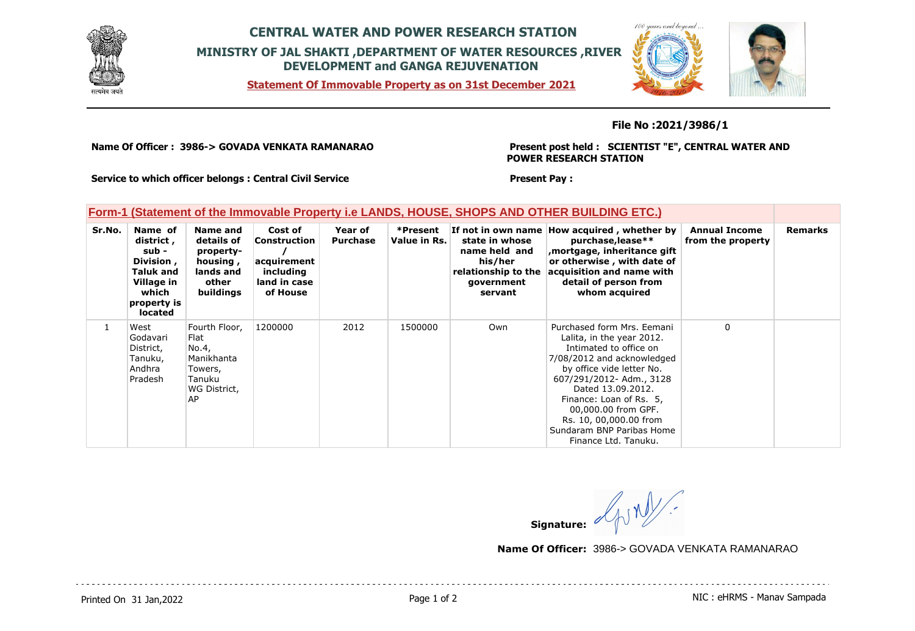

## **CENTRAL WATER AND POWER RESEARCH STATION MINISTRY OF JAL SHAKTI ,DEPARTMENT OF WATER RESOURCES ,RIVER DEVELOPMENT and GANGA REJUVENATION**

**Statement Of Immovable Property as on 31st December 2021**



#### **File No :2021/3986/1**

**Name Of Officer : 3986-> GOVADA VENKATA RAMANARAO** 

**Present post held : SCIENTIST "E", CENTRAL WATER AND POWER RESEARCH STATION**

**Service to which officer belongs : Central Civil Service**

### **Form-1 (Statement of the Immovable Property i.e LANDS, HOUSE, SHOPS AND OTHER BUILDING ETC.)**

| Sr.No.       | Name of<br>district ,<br>sub -<br>Division,<br>Taluk and<br>Village in<br>which<br>property is<br>located | Name and<br>details of<br>property-<br>housing,<br>lands and<br>other<br>buildings      | Cost of<br><b>Construction</b><br>acquirement<br>including<br>land in case<br>of House | Year of<br><b>Purchase</b> | *Present<br>Value in Rs. | state in whose<br>name held and<br>his/her<br>relationship to the<br>government<br>servant | If not in own name How acquired, whether by<br>purchase, lease**<br>mortgage, inheritance gift<br>or otherwise, with date of<br>acquisition and name with<br>detail of person from<br>whom acquired                                                                                                                            | <b>Annual Income</b><br>from the property | <b>Remarks</b> |
|--------------|-----------------------------------------------------------------------------------------------------------|-----------------------------------------------------------------------------------------|----------------------------------------------------------------------------------------|----------------------------|--------------------------|--------------------------------------------------------------------------------------------|--------------------------------------------------------------------------------------------------------------------------------------------------------------------------------------------------------------------------------------------------------------------------------------------------------------------------------|-------------------------------------------|----------------|
| $\mathbf{1}$ | West<br>Godavari<br>District,<br>Tanuku,<br>Andhra<br>Pradesh                                             | Fourth Floor,<br>Flat<br>No.4,<br>Manikhanta<br>Towers,<br>Tanuku<br>WG District,<br>AP | 1200000                                                                                | 2012                       | 1500000                  | Own                                                                                        | Purchased form Mrs. Eemani<br>Lalita, in the year 2012.<br>Intimated to office on<br>7/08/2012 and acknowledged<br>by office vide letter No.<br>607/291/2012- Adm., 3128<br>Dated 13.09.2012.<br>Finance: Loan of Rs. 5.<br>00,000.00 from GPF.<br>Rs. 10, 00,000.00 from<br>Sundaram BNP Paribas Home<br>Finance Ltd. Tanuku. | $\Omega$                                  |                |

**Present Pay :** 

 $\frac{2}{\text{M}}$ **Signature:**

**Name Of Officer:** 3986-> GOVADA VENKATA RAMANARAO

Printed On 31 Jan, 2022 2001 12:00 Page 1 of 2 Page 1 of 2 NIC : eHRMS - Manav Sampada